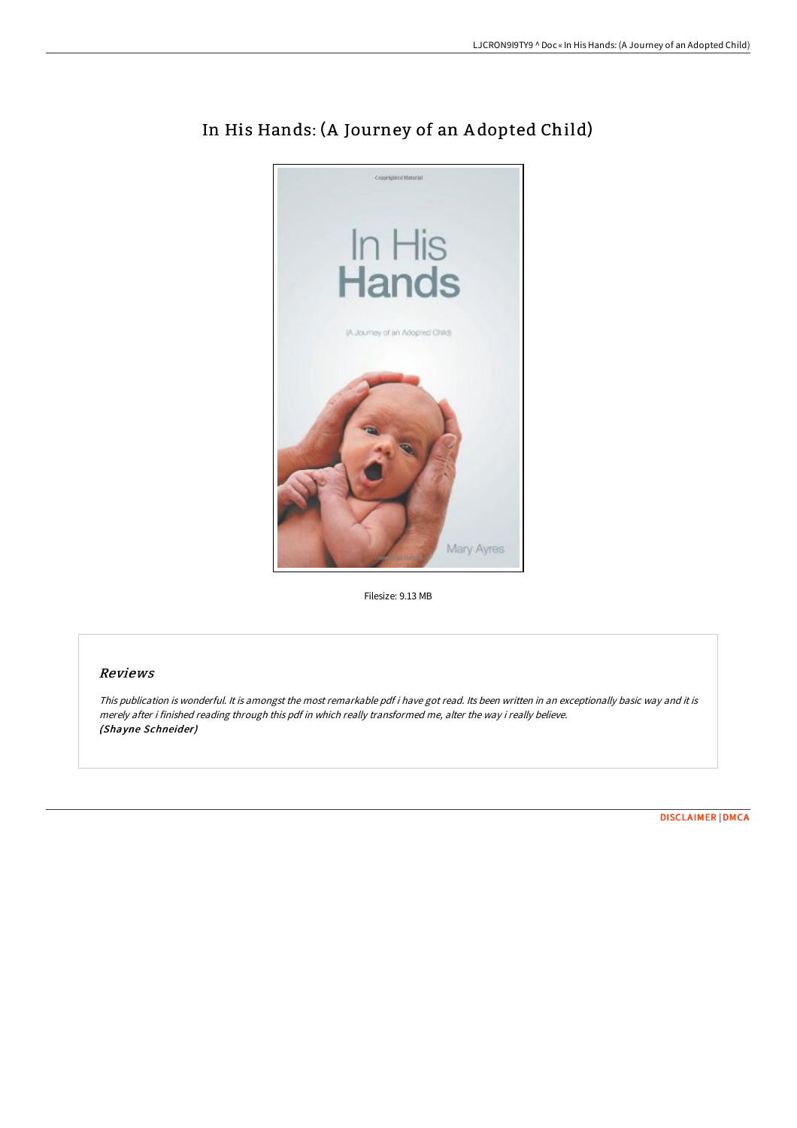

# In His Hands: (A Journey of an A dopted Child)

Filesize: 9.13 MB

## Reviews

This publication is wonderful. It is amongst the most remarkable pdf i have got read. Its been written in an exceptionally basic way and it is merely after i finished reading through this pdf in which really transformed me, alter the way i really believe. (Shayne Schneider)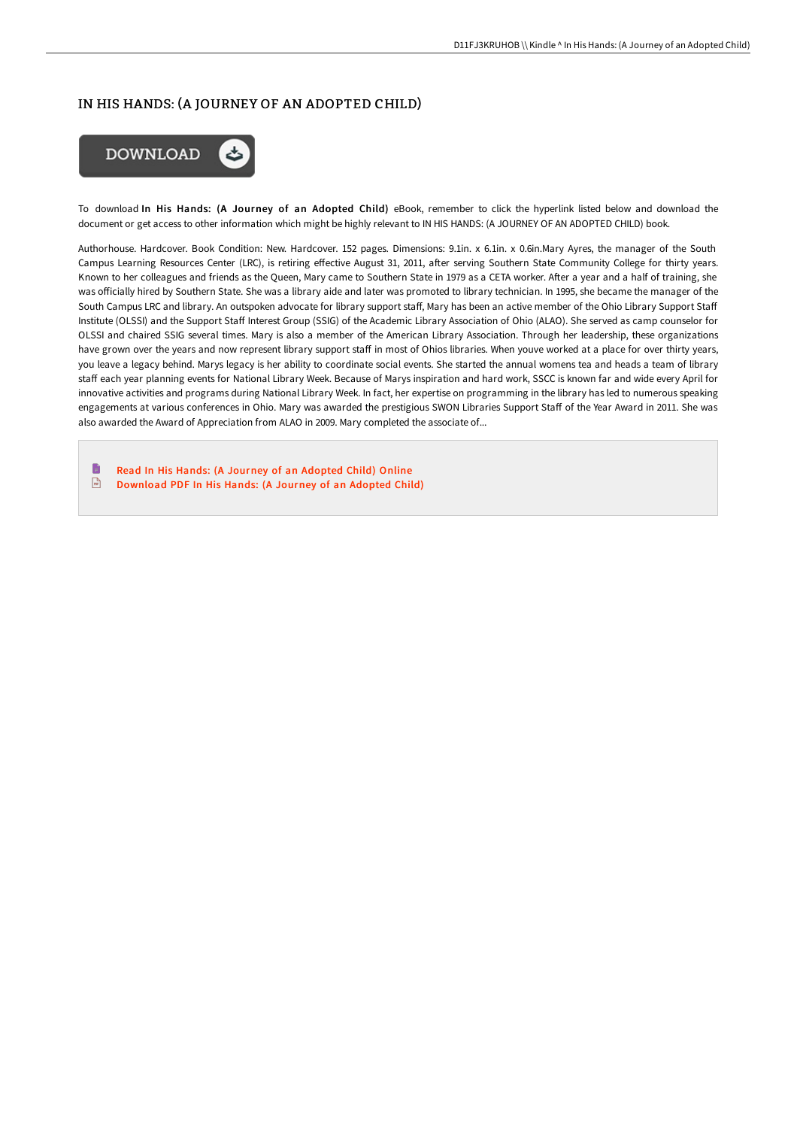## IN HIS HANDS: (A JOURNEY OF AN ADOPTED CHILD)



To download In His Hands: (A Journey of an Adopted Child) eBook, remember to click the hyperlink listed below and download the document or get access to other information which might be highly relevant to IN HIS HANDS: (A JOURNEY OF AN ADOPTED CHILD) book.

Authorhouse. Hardcover. Book Condition: New. Hardcover. 152 pages. Dimensions: 9.1in. x 6.1in. x 0.6in.Mary Ayres, the manager of the South Campus Learning Resources Center (LRC), is retiring effective August 31, 2011, after serving Southern State Community College for thirty years. Known to her colleagues and friends as the Queen, Mary came to Southern State in 1979 as a CETA worker. After a year and a half of training, she was officially hired by Southern State. She was a library aide and later was promoted to library technician. In 1995, she became the manager of the South Campus LRC and library. An outspoken advocate for library support staff, Mary has been an active member of the Ohio Library Support Staff Institute (OLSSI) and the Support Staff Interest Group (SSIG) of the Academic Library Association of Ohio (ALAO). She served as camp counselor for OLSSI and chaired SSIG several times. Mary is also a member of the American Library Association. Through her leadership, these organizations have grown over the years and now represent library support staff in most of Ohios libraries. When youve worked at a place for over thirty years, you leave a legacy behind. Marys legacy is her ability to coordinate social events. She started the annual womens tea and heads a team of library staff each year planning events for National Library Week. Because of Marys inspiration and hard work, SSCC is known far and wide every April for innovative activities and programs during National Library Week. In fact, her expertise on programming in the library has led to numerous speaking engagements at various conferences in Ohio. Mary was awarded the prestigious SWON Libraries Support Staff of the Year Award in 2011. She was also awarded the Award of Appreciation from ALAO in 2009. Mary completed the associate of...

F Read In His Hands: (A Journey of an [Adopted](http://techno-pub.tech/in-his-hands-a-journey-of-an-adopted-child.html) Child) Online  $\sqrt{1 + \frac{1}{2}}$ [Download](http://techno-pub.tech/in-his-hands-a-journey-of-an-adopted-child.html) PDF In His Hands: (A Journey of an Adopted Child)